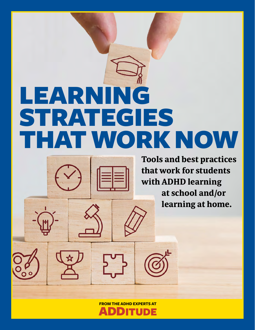# LEARNING STRATEGIES THAT WORK NOW



**Tools and best practices that work for students with ADHD learning at school and/or learning at home.**

**FROM THE ADHD EXPERTS AT**

TUDE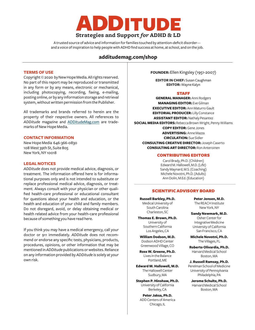

A trusted source of advice and information for families touched by attention-deficit disorder and a voice of inspiration to help people with ADHD find success at home, at school, and on the job.

#### **[additudemag.com/shop](http://additudemag.com/shop)**

#### **TERMS OF USE**

Copyright © 2020 by New Hope Media. All rights reserved. No part of this report may be reproduced or transmitted in any form or by any means, electronic or mechanical, including photocopying, recording, faxing, e-mailing, posting online, or by any information storage and retrieval system, without written permission from the Publisher.

All trademarks and brands referred to herein are the property of their respective owners. All references to *ADDitude* magazine and [ADDitudeMag.com](https://www.additudemag.com/) are trademarks of New Hope Media.

#### **CONTACT INFORMATION**

New Hope Media 646-366-0830 108 West 39th St, Suite 805 New York, NY 10018

#### **LEGAL NOTICES**

*ADDitude* does not provide medical advice, diagnosis, or treatment. The information offered here is for informational purposes only and is not intended to substitute or replace professional medical advice, diagnosis, or treatment. Always consult with your physician or other qualified health-care professional or educational consultant for questions about your health and education, or the health and education of your child and family members. Do not disregard, avoid, or delay obtaining medical or health related advice from your health-care professional because of something you have read here.

If you think you may have a medical emergency, call your doctor or 911 immediately. *ADDitude* does not recommend or endorse any specific tests, physicians, products, procedures, opinions, or other information that may be mentioned in *ADDitude* publications or websites. Reliance on any information provided by *ADDitude* is solely at your own risk.

**FOUNDER:** Ellen Kingsley (1951-2007)

**EDITOR IN CHIEF:** Susan Caughman **EDITOR:** Wayne Kalyn

#### STAFF

**GENERAL MANAGER:** Anni Rodgers **MANAGING EDITOR:** Eve Gilman **EXECUTIVE EDITOR:** Ann Maturro Gault **EDITORIAL PRODUCER:** Lilly Constance **ASSISTANT EDITOR:** Nathaly Pesantez **SOCIAL MEDIA EDITORS:** Rebecca Brown Wright, Penny Williams **COPY EDITOR:** Gene Jones **ADVERTISING:** Anne Mazza **CIRCULATION:** Sue Sidler **CONSULTING CREATIVE DIRECTOR:** Joseph Caserto **CONSULTING ART DIRECTOR:** Ron Anteroinen

#### CONTRIBUTING EDITORS

Carol Brady, Ph.D. (Children) Edward M. Hallowell, M.D. (Life) Sandy Maynard, M.S. (Coaching) Michele Novotni, Ph.D. (Adults) Ann Dolin, M.Ed. (Education)

#### SCIENTIFIC ADVISORY BOARD

**Russell Barkley, Ph.D.** Medical University of South Carolina Charleston, SC

**Thomas E. Brown, Ph.D.** University of Southern California Los Angeles, CA

**William Dodson, M.D.** Dodson ADHD Center Greenwood Village, CO

**Ross W. Greene, Ph.D.** Lives in the Balance Portland, ME

**Edward M. Hallowell, M.D.** The Hallowell Center Sudbury, MA

**Stephen P. Hinshaw, Ph.D.** University of California Berkeley, CA

**Peter Jaksa, Ph.D.** ADD Centers of America Chicago, IL

**Peter Jensen, M.D.** The REACH Institute New York, NY

**Sandy Newmark, M.D.** Osher Center for Integrative Medicine University of California San Francisco, CA

**Michele Novotni, Ph.D.** The Villages, FL

**Roberto Olivardia, Ph.D.** Harvard Medical School Boston, MA

**J. Russell Ramsay, Ph.D.** Perelman School of Medicine University of Pennsylvania Philadelphia, PA

**Jerome Schultz, Ph.D.** Harvard Medical School Boston, MA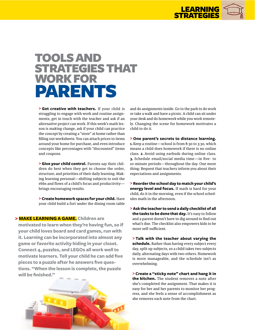

### TOOLS AND STRATEGIES THAT WORK FOR PARENTS

**> Get creative with teachers.** If your child is struggling to engage with work and routine assignments, get in touch with the teacher and ask if an alternative project can work. If this week's math lesson is making change, ask if your child can practice the concept by creating a "store" at home rather than filling out worksheets. You can attach prices to items around your home for purchase, and even introduce concepts like percentages with "discounted" items and coupons.

**> Give your child control.** Parents say their children do best when they get to choose the order, structure, and priorities of their daily learning. Making learning personal—shifting subjects to suit the ebbs and flows of a child's focus and productivity brings encouraging results.

**> Create homework spaces for your child.** Have your child build a fort under the dining room table

#### **> MAKE LEARNING A GAME. Children are**

**motivated to learn when they're having fun, so if your child loves board and card games, run with it. Learning can be incorporated into almost any game or favorite activity hiding in your closet. Connect 4, puzzles, and LEGOs all work well to motivate learners. Tell your child he can add five pieces to a puzzle after he answers five questions. "When the lesson is complete, the puzzle will be finished."**



and do assignments inside. Go to the park to do work or take a walk and have a picnic. A child can sit under your desk and do homework while you work remotely. Changing the scene for homework motivates a child to do it.

**> One parent's secrets to distance learning. 1.** Keep a routine—school is from 8:30 to 3:30, which means a child does homework if there is no online class. **2.** Avoid using earbuds during online class. **3.** Schedule email/social media time—in five- to 10-minute periods—throughout the day. One more thing: Request that teachers inform you about their expectations and assignments.

**> Reorder the school day to match your child's energy level and focus.** If math is hard for your child, do it in the morning, even if the school schedules math in the afternoon.

**> Ask the teacher to send a daily checklist of all the tasks to be done that day.** It's easy to follow and a parent doesn't have to dig around to find out what's due. The checklist also empowers kids to be more self-sufficient.

**> Talk with the teacher about varying the schedule.** Rather than having every subject every day, split up subjects, so a child takes two subjects daily, alternating days with two others. Homework is more manageable, and the schedule isn't as overwhelming.

**> Create a "sticky note" chart and hang it in the kitchen.** The student removes a note after she's completed the assignment. That makes it is easy for her and her parents to monitor her progress, and she feels a sense of accomplishment as she removes each note from the chart.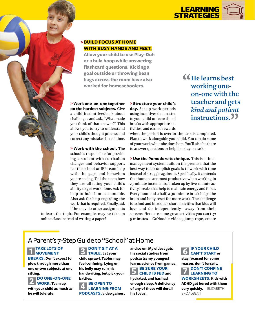

#### **>BUILD FOCUS AT HOME WITH BUSY HANDS AND FEET.**

**Allow your child to use Play-Doh or a hula hoop while answering flashcard questions. Kicking a goal outside or throwing bean bags across the room have also worked for homeschoolers.**

**> Work one-on-one together on the hardest subjects.** Give a child instant feedback about challenges and ask, "What made you think of that answer?" This allows you to try to understand your child's thought process and correct any mistakes in real time.

**> Work with the school.** The school is responsible for providing a student with curriculum changes and behavior support. Let the school or IEP team help with the gaps and behaviors you're seeing. Tell the team how they are affecting your child's ability to get work done. Ask for help to hold him accountable. Also ask for help regarding the work that is required. Finally, ask if he may do other assignments

to learn the topic. For example, may he take an online class instead of writing a paper?

**> Structure your child's day.** Set up work periods using incentives that matter to your child or teen: timed breaks with appropriate activities, and earned rewards

when the period is over or the task is completed. Plan to work alongside your child. You can do some of your work while she does hers. You'll also be there to answer questions or help her stay on task.

**> Use the Pomodoro technique.** This is a timemanagement system built on the premise that the best way to accomplish goals is to work with time instead of struggle against it. Specifically, it contends that humans are most productive when working in 25-minute increments, broken up by five-minute activity breaks that help to maintain energy and focus. Every hour and a half, a 30-minute break helps the brain and body reset for more work. The challenge is to find and introduce short activities that kids will love and do independently—away from their screens. Here are some great activities you can try: **5 minutes**—GoNoodle videos, jump rope, create

**KHe learns best working oneon-one with the teacher and gets**  *kind and patient*  instructions.<sup>99</sup>

A Parent's 7-Step Guide to "School" at Home

**1 TAKE LOTS OF MOVEMENT BREAKS. Don't expect to plow through more than** 

**one or two subjects at one sitting.** 

**2 DO ONE-ON-ONE WORK. Team up with your child as much as he will tolerate.**

**3 DON'T SIT AT A TABLE. Let your child sprawl. Tables may feel confining. Lying on his belly may ruin his handwriting, but pick your battles.**

**A** BE OPEN TO **LEARNING FROM PODCASTS, video games,**  **and so on. My oldest gets his social studies from podcasts; my youngest learns science from games.**

**5** BE SURE YOUR<br> **S** CHILD IS FED and **hydrated, and has had enough sleep. A deficiency of any of these will derail his focus.** 

#### **6 IF YOUR CHILD CAN'T START or stay focused for some**

**reason, don't force it.  7 DON'T CONFINE LEARNING TO WORKSHEETS. Kids with ADHD get bored with them** 

**very quickly.** —ELIZABETH BROADBENT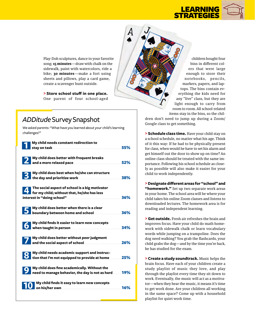

Play-Doh sculptures, dance to your favorite song; 15 minutes—draw with chalk on the sidewalk, paint with watercolors, ride a bike; **30 minutes**—make a fort using sheets and pillows, play a card game, create a scavenger hunt outside.

> Store school stuff in one place. One parent of four school-aged

### **ADDitude Survey Snapshot**

We asked parents: "What have you learned about your child's learning challenges?"

| My child needs constant redirection to                                                                                     | 55%         |
|----------------------------------------------------------------------------------------------------------------------------|-------------|
| My child does better with frequent breaks                                                                                  | 52%         |
| My child does best when he/she can structure                                                                               | 38%         |
| The social aspect of school is a big motivator<br>for my child; without that, he/she has less                              | 36%         |
| My child does better when there is a clear                                                                                 | 36%         |
| My child finds it easier to learn new concepts<br>when taught in person <b>contains an additional container and person</b> | 34%         |
| My child does better without peer judgment                                                                                 | 26%         |
| My child needs academic support and instruc-<br>tion that I'm not equipped to provide at home                              | 25%         |
| My child does fine academically. Without the<br>need to manage behavior, the day is not as hard                            | 19%         |
| My child finds it easy to learn new concepts                                                                               | <b>.16%</b> |

children bought four bins in different colors that were large enough to store their notebooks, pencils, markers, papers, and laptops. The bins contain everything the kids need for any "live" class, but they are light enough to carry from room to room. All school-related items stay in the bins, so the chil-

dren don't need to jump up during a Zoom/ Google class to get something.

> Schedule class time. Have your child stay on a school schedule, no matter what his age. Think of it this way: If he had to be physically present for class, when would he have to set his alarm and get himself out the door to show up on time? An online class should be treated with the same importance. Following his school schedule as closely as possible will also make it easier for your child to work independently.

> Designate different areas for "school" and "homework." Set up two separate work areas in your home. The school area will be where your child takes his online Zoom classes and listens to downloaded lectures. The homework area is for reading and independent learning.

> Get outside. Fresh air refreshes the brain and improves focus. Have your child do math homework with sidewalk chalk or learn vocabulary words while jumping on a trampoline. Does the dog need walking? You grab the flashcards, your child grabs the dog—and by the time you're back, he has studied for the exam.

> Create a study soundtrack. Music helps the brain focus. Have each of your children create a study playlist of music they love, and play through the playlist every time they sit down to work. Eventually, the music will act as a motivator—when they hear the music, it means it's time to get work done. Are your children all working in the same space? Come up with a household playlist for quiet work time.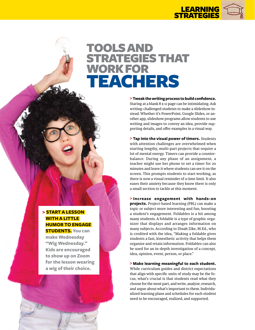

### TOOLS AND STRATEGIES THAT WORK FOR TEACHERS

**>Tweak the writing process to build confidence.** Staring at a blank 8 x 11 page can be intimidating. Ask writing-challenged students to make a slideshow instead. Whether it's PowerPoint, Google Slides, or another app, slideshow programs allow students to use writing and images to convey an idea, provide supporting details, and offer examples in a visual way.

**> Tap into the visual power of timers.** Students with attention challenges are overwhelmed when starting lengthy, multi-part projects that require a lot of mental energy. Timers can provide a counterbalance. During any phase of an assignment, a teacher might use her phone to set a timer for 20 minutes and leave it where students can see it on the screen. This prompts students to start working, as there is now a visual reminder of a time limit. It also eases their anxiety because they know there is only a small section to tackle at this moment.

**> Increase engagement with hands-on projects.** Project-based learning (PBL) can make a topic or subject more interesting and fun, boosting a student's engagement. Foldables is a hit among many students. A foldable is a type of graphic organizer that displays and arranges information on many subjects. According to Dinah Zike, M.Ed., who is credited with the idea, "Making a foldable gives students a fast, kinesthetic activity that helps them organize and retain information. Foldables can also be used for an in-depth investigation of a concept, idea, opinion, event, person, or place."

**> Make learning meaningful to each student.** While curriculum guides and district expectations that align with specific units of study may be the focus, what's crucial is that students read what they choose for the most part, and write, analyze, research, and argue about what's important to them. Individualized learning plans and schedules for each student need to be encouraged, realized, and supported.

#### **> START A LESSON WITH A LITTLE HUMOR TO ENGAGE**

**STUDENTS. You can make Wednesday "Wig Wednesday." Kids are encouraged to show up on Zoom for the lesson wearing a wig of their choice.**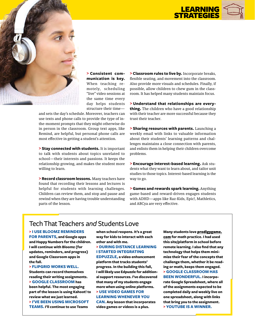



**> Consistent communication is key.** When teaching remotely, scheduling "live" video sessions at the same time every day helps students structure their time—

and sets the day's schedule. Moreover, teachers can use texts and phone calls to provide the type of inthe-moment prompts that they might otherwise do in person in the classroom. Group text apps, like Remind, are helpful, but personal phone calls are most effective in getting a student's attention.

**> Stay connected with students.** It is important to talk with students about topics unrelated to school—their interests and passions. It keeps the relationship growing, and makes the student more willing to learn.

**> Record classroom lessons.** Many teachers have found that recording their lessons and lectures is helpful for students with learning challenges. Children can review them, and stop and pause and rewind when they are having trouble understanding parts of the lesson.

**> Classroom rules to live by.** Incorporate breaks, flexible seating, and movement into the classroom. Also provide more visuals and schedules. Finally, if possible, allow children to chew gum in the classroom. It has helped many students maintain focus.

**> Understand that relationships are everything.** The children who have a good relationship with their teacher are more successful because they trust their teacher.

**> Sharing resources with parents.** Launching a weekly email with links to valuable information about their students' learning patterns and challenges maintains a close connection with parents, and enlists them in helping their children overcome problems.

**> Encourage interest-based learning.** Ask students what they want to learn about, and tailor unit studies to those topics. Interest-based learning is the way to go.

**> Games and rewards spark learning.** Anything game-based and reward-driven engages students with ADHD—apps like Raz-Kids, Epic!, Mathletics, and ABCya are very effective.

#### Tech That Teachers *and* Students Love

**> I USE BLOOMZ REMINDERS FOR PARENTS, and Google apps and Happy Numbers for the children. I will continue with Bloomz (for updates, reminders, and progress) and Google Classroom apps in the fall.**

**> FLIPGRID WORKS WELL.** 

**Students can record themselves reading their writing assignments. > GOOGLE CLASSROOM has been helpful. The most engaging part of the lesson is using Kahoot! to review what we just learned. > I'VE BEEN USING MICROSOFT TEAMS. I'll continue to use Teams** 

**when school reopens. It's a great way for kids to interact with each other and with me.**

#### **> DURING DISTANCE LEARNING I STARTED INTEGRATING**

**EDPUZZLE, a video enhancement platform that tracks students' progress. In the building this fall, I will likely use Edpuzzle for additional support resources. I've discovered that many of my students engage more when using online platforms. > USE VIDEO GAMES FOR** 

#### **LEARNING WHENEVER YOU**

**CAN. Any lesson that incorporates video games or videos is a plus.** 

**Many students love** [prodigygame.](https://www.prodigygame.com/) [com](https://www.prodigygame.com/) **for math practice. I had used this site/platform in school before remote learning. I also find that any technology that helps them minimize their fear of the concepts that challenge them, whether it be reading or math, keeps them engaged. > GOOGLE CLASSROOM HAS BEEN WONDERFUL. I incorporate Google Spreadsheet, where all of the assignments expected to be completed daily and weekly live on one spreadsheet, along with links that bring you to the assignment. > YOUTUBE IS A WINNER.**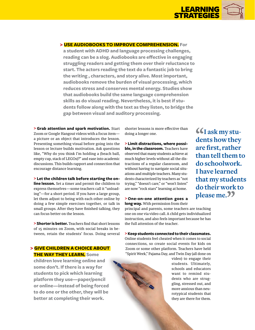

#### **> USE AUDIOBOOKS TO IMPROVE COMPREHENSION. For**

**a student with ADHD and language processing challenges, reading can be a slog. Audiobooks are effective in engaging struggling readers and getting them over their reluctance to start. The actors reading the text do a fantastic job to bring the writing , characters, and story alive. Most important, audiobooks remove the burden of visual processing, which reduces stress and conserves mental energy. Studies show that audiobooks build the same language comprehension skills as do visual reading. Nevertheless, it is best if students follow along with the text as they listen, to bridge the gap between visual and auditory processing.**

**> Grab attention and spark motivation.** Start Zoom or Google Hangout videos with a focus item a picture or an object that introduces the lesson. Presenting something visual before going into the lesson or lecture builds motivation. Ask questions like, "Why do you think I'm holding a (beach ball, empty cup, stack of LEGOs)?" and ease into academic discussions. This builds rapport and connection that encourage distance learning.

**> Let the children talk before starting the online lesson.** Set a timer and permit the children to express themselves—some teachers call it "unloading"—for a short period. If you have a large group, let them adjust to being with each other online by doing a few simple exercises together, or talk in small groups. After they have finished talking, they can focus better on the lesson.

**> Shorter is better.** Teachers find that short lessons of 15 minutes on Zoom, with social breaks in between, retain the students' focus. Doing several

#### **> GIVE CHILDREN A CHOICE ABOUT THE WAY THEY LEARN. Some**

**children love learning online and some don't. If there is a way for students to pick which learning platform they use—paper/pencil or online—instead of being forced to do one or the other, they will be better at completing their work.**

shorter lessons is more effective than doing a longer one.

**> Limit distractions, where possible, in the classroom.** Teachers have observed that many students achieve at much higher levels without all the distractions of a regular classroom, and without having to navigate social situations and multiple teachers. Many students characterized by teachers as "not trying," "doesn't care," or "won't listen" are now "rock stars" learning at home.

#### **> One-on-one attention goes a long way.** With permission from their

principal and parents, some teachers are teaching one on one via video call. A child gets individualized instruction, and also feels important because he has the full attention of the teacher.

**>Keep students connected to their classmates.** Online students feel cheated when it comes to social connections, so create social events for kids on Zoom or some other platform. Teachers have held "Spirit Week," Pajama Day, and Twin Day (all done on

> video) to engage their students. Ultimately, schools and educators want to remind students who are struggling, stressed out, and more anxious than neurotypical students that they are there for them.

"**I ask my students how they are first, rather than tell them to do schoolwork. I have learned that my students do their work to**  please me.<sup>99</sup>

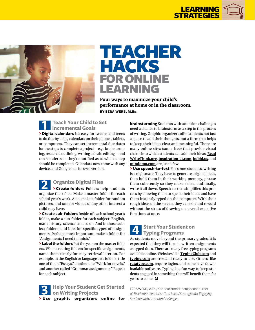



### TEACHER HACKS FOR ONLINE LEARNING

**Four ways to maximize your child's performance at home or in the classroom. BY EZRA WERB, M.Ed.**

**1 Teach Your Child to Set Incremental Goals > Digital calendars** It's easy for tweens and teens to do this by using calendars on their phones, tablets, or computers. They can set incremental due dates for the steps to complete a project—e.g., brainstorming, research, outlining, writing a draft, editing—and can set alerts so they're notified as to when a step should be completed. Calendars now come with any device, and Google has its own version.

**2 Organize Digital Files > Create folders** Folders help students organize their files. Make a master folder for each school year's work. Also, make a folder for random pictures, and one for videos or any other interest a child may have.

**> Create sub-folders** Inside of each school year's folder, make a sub-folder for each subject: English, math, history, science, and so on. And in those subject folders, add bins for specific types of assignments. Perhaps most important, make a folder for "Assignments I need to finish."

**> Label the folders** Put the year on the master folders. When creating folders for specific assignments, name them clearly for easy retrieval later on. For example, in the English or language arts folders, title one of them "Essays," another one "Work for novels," and another called "Grammar assignments." Repeat for each subject.



**brainstorming** Students with attention challenges need a chance to brainstorm as a step in the process of writing. Graphic organizers offer students not just a space to add their thoughts, but a form that helps to keep their ideas clear and meaningful. There are many online sites (some free) that provide visual charts into which students can add their ideas. **[Read](http://readwritethink.org/) [WriteThink.org](http://readwritethink.org/)**, **[inspiration-at.com](https://www.inspiration-at.com/)**, **[bubbl.us](https://bubbl.us/)**, and **[mindomo.com](https://www.mindomo.com/)** are just a few.

**> Use speech-to-text** For some students, writing is a nightmare. They have to generate original ideas, then hold them in their working memory, phrase them coherently so they make sense, and finally, write it all down. Speech-to-text simplifies this process by allowing them to speak their ideas and have them instantly typed on the computer. With their rough ideas on the screen, they can edit and reword without the stress of drawing on several executive functions at once.



As students move beyond the primary grades, it is expected that they will turn in written assignments as typed docs. There are many free typing programs available online. Websites like **[TypingClub.com](https://www.typingclub.com/)** and **[typing.com](https://www.typing.com/)** are free and ready to use. Others, like **[ratatype.com](https://www.ratatype.com/)**, require logins, and some have downloadable software. Typing is a fun way to keep students engaged in something that will benefit them for years to come. **A**

EZRA WERB, M.Ed., is an educational therapist and author of *Teach for Attention! A Tool Belt of Strategies for Engaging Students with Attention Challenges*.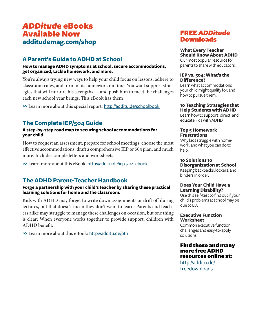#### **A Parent's Guide to ADHD at School**

**How to manage ADHD symptoms at school, secure accommodations, get organized, tackle homework, and more.**

You're always trying new ways to help your child focus on lessons, adhere to classroom rules, and turn in his homework on time. You want support strategies that will nurture his strengths — and push him to meet the challenges each new school year brings. This eBook has them

**>>** Learn more about this special report: <http://additu.de/schoolbook>

#### **The Complete IEP/504 Guide**

#### **A step-by-step road map to securing school accommodations for your child.**

How to request an assessment, prepare for school meetings, choose the most effective accommodations, draft a comprehensive IEP or 504 plan, and much more. Includes sample letters and worksheets.

**>>** Learn more about this eBook: <http://additu.de/iep-504-ebook>

#### **The ADHD Parent-Teacher Handbook**

#### **Forge a partnership with your child's teacher by sharing these practical learning solutions for home and the classroom.**

Kids with ADHD may forget to write down assignments or drift off during lectures, but that doesn't mean they don't want to learn. Parents and teachers alike may struggle to manage these challenges on occasion, but one thing is clear: When everyone works together to provide support, children with ADHD benefit.

**>>** Learn more about this eBook: <http://additu.de/pth>

## FREE *ADDitude* Downloads

#### **What Every Teacher Should Know About ADHD**

Our most popular resource for parents to share with educators.

#### **IEP vs. 504: What's the Difference?**

Learn what accommodations your child might qualify for, and how to pursue them.

#### **10 Teaching Strategies that Help Students with ADHD**

Learn how to support, direct, and educate kids with ADHD.

#### **Top 5 Homework Frustrations**

Why kids struggle with homework, and what you can do to help.

#### **10 Solutions to Disorganization at School**

Keeping backpacks, lockers, and binders in order.

#### **Does Your Child Have a Learning Disability?**

Use this self-test to find out if your child's problems at school may be due to LD.

#### **Executive Function Worksheet**

Common executive function challenges and easy-to-apply solutions.

#### Find these and many more free ADHD resources online at:

[http://additu.de/](http://additu.de/freedownloads) [freedownloads](http://additu.de/freedownloads)